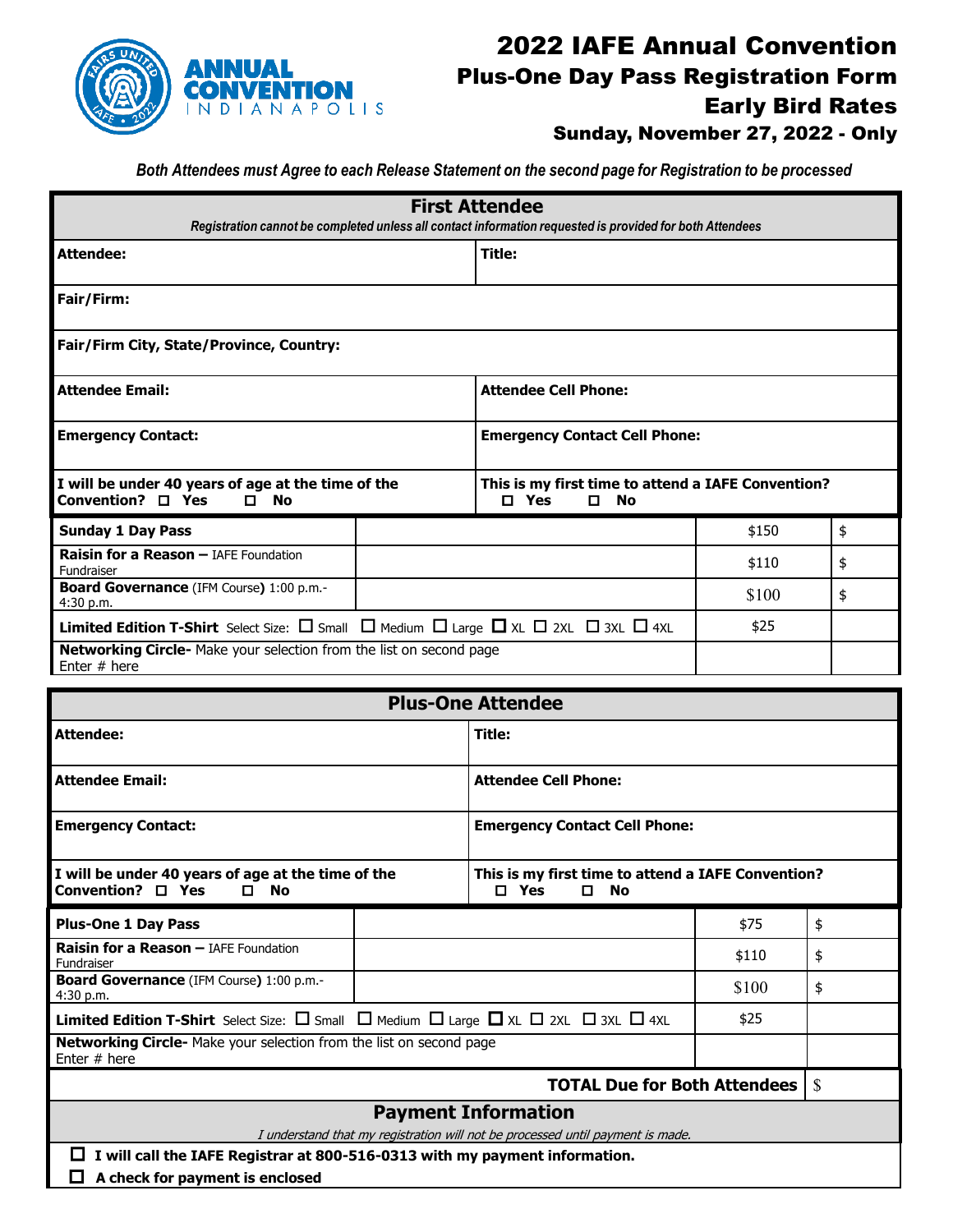

## 2022 IAFE Annual Convention Plus-One Day Pass Registration Form Early Bird Rates

Sunday, November 27, 2022 - Only

*Both Attendees must Agree to each Release Statement on the second page for Registration to be processed*

| <b>First Attendee</b><br>Registration cannot be completed unless all contact information requested is provided for both Attendees |  |                                                                                       |       |    |  |  |  |
|-----------------------------------------------------------------------------------------------------------------------------------|--|---------------------------------------------------------------------------------------|-------|----|--|--|--|
| Attendee:                                                                                                                         |  | Title:                                                                                |       |    |  |  |  |
| Fair/Firm:                                                                                                                        |  |                                                                                       |       |    |  |  |  |
| Fair/Firm City, State/Province, Country:                                                                                          |  |                                                                                       |       |    |  |  |  |
| <b>Attendee Email:</b>                                                                                                            |  | <b>Attendee Cell Phone:</b>                                                           |       |    |  |  |  |
| <b>Emergency Contact:</b>                                                                                                         |  | <b>Emergency Contact Cell Phone:</b>                                                  |       |    |  |  |  |
| I will be under 40 years of age at the time of the<br>Convention? $\square$ Yes<br><b>No</b><br>$\Box$                            |  | This is my first time to attend a IAFE Convention?<br>Yes<br>$\Box$<br><b>No</b><br>п |       |    |  |  |  |
| <b>Sunday 1 Day Pass</b>                                                                                                          |  |                                                                                       | \$150 | \$ |  |  |  |
| <b>Raisin for a Reason - IAFE Foundation</b><br>Fundraiser                                                                        |  |                                                                                       | \$110 | \$ |  |  |  |
| Board Governance (IFM Course) 1:00 p.m.-<br>4:30 p.m.                                                                             |  |                                                                                       | \$100 | \$ |  |  |  |
| <b>Limited Edition T-Shirt</b> Select Size: $\Box$ Small $\Box$ Medium $\Box$ Large $\Box$ XL $\Box$ 2XL $\Box$ 3XL $\Box$ 4XL    |  |                                                                                       | \$25  |    |  |  |  |
| Networking Circle- Make your selection from the list on second page<br>Enter $#$ here                                             |  |                                                                                       |       |    |  |  |  |

| <b>Plus-One Attendee</b>                                                                                                               |  |                                                                           |       |    |  |  |
|----------------------------------------------------------------------------------------------------------------------------------------|--|---------------------------------------------------------------------------|-------|----|--|--|
| <b>Attendee:</b>                                                                                                                       |  | Title:                                                                    |       |    |  |  |
| <b>Attendee Email:</b>                                                                                                                 |  | <b>Attendee Cell Phone:</b>                                               |       |    |  |  |
| <b>Emergency Contact:</b>                                                                                                              |  | <b>Emergency Contact Cell Phone:</b>                                      |       |    |  |  |
| I will be under 40 years of age at the time of the<br>Convention? $\square$ Yes<br><b>No</b><br>п.                                     |  | This is my first time to attend a IAFE Convention?<br>Yes<br>п<br>No<br>п |       |    |  |  |
| <b>Plus-One 1 Day Pass</b>                                                                                                             |  |                                                                           | \$75  | \$ |  |  |
| Raisin for a Reason - IAFE Foundation<br>Fundraiser                                                                                    |  |                                                                           | \$110 | \$ |  |  |
| Board Governance (IFM Course) 1:00 p.m.-<br>4:30 p.m.                                                                                  |  |                                                                           | \$100 | \$ |  |  |
| <b>Limited Edition T-Shirt</b> Select Size: $\Box$ Small $\Box$ Medium $\Box$ Large $\Box$ XL $\Box$ 2XL $\Box$ 3XL $\Box$ 4XL<br>\$25 |  |                                                                           |       |    |  |  |
| Networking Circle- Make your selection from the list on second page<br>Enter $#$ here                                                  |  |                                                                           |       |    |  |  |
| <b>TOTAL Due for Both Attendees</b>                                                                                                    |  |                                                                           |       |    |  |  |
| <b>Payment Information</b>                                                                                                             |  |                                                                           |       |    |  |  |
| I understand that my registration will not be processed until payment is made.                                                         |  |                                                                           |       |    |  |  |
| I will call the IAFE Registrar at 800-516-0313 with my payment information.<br>ш                                                       |  |                                                                           |       |    |  |  |
| A check for payment is enclosed                                                                                                        |  |                                                                           |       |    |  |  |